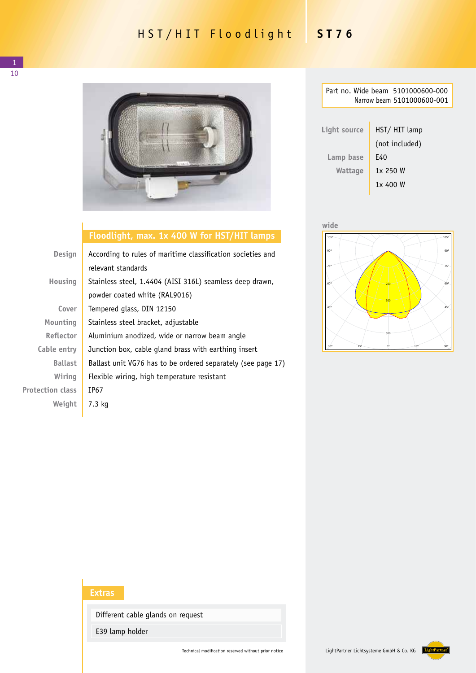## HST/HIT Floodlight **ST76**



## **Floodlight, max. 1x 400 W for HST/HIT lamps**

| <b>Design</b>           | According to rules of maritime classification societies and  |  |
|-------------------------|--------------------------------------------------------------|--|
|                         | relevant standards                                           |  |
| <b>Housing</b>          | Stainless steel, 1.4404 (AISI 316L) seamless deep drawn,     |  |
|                         | powder coated white (RAL9016)                                |  |
| Cover                   | Tempered glass, DIN 12150                                    |  |
| Mounting                | Stainless steel bracket, adjustable                          |  |
| <b>Reflector</b>        | Aluminium anodized, wide or narrow beam angle                |  |
| Cable entry             | Junction box, cable gland brass with earthing insert         |  |
| <b>Ballast</b>          | Ballast unit VG76 has to be ordered separately (see page 17) |  |
| Wiring                  | Flexible wiring, high temperature resistant                  |  |
| <b>Protection class</b> | IP67                                                         |  |
| Weight                  | $7.3$ kg                                                     |  |
|                         |                                                              |  |

| Part no. Wide beam 5101000600-000<br>Narrow beam 5101000600-001 |                |  |  |  |
|-----------------------------------------------------------------|----------------|--|--|--|
|                                                                 |                |  |  |  |
| Light source                                                    | HST/HIT lamp   |  |  |  |
|                                                                 | (not included) |  |  |  |
| Lamp base                                                       | F40            |  |  |  |
| Wattage                                                         | 1x 250 W       |  |  |  |
|                                                                 | 1x 400 W       |  |  |  |





## **Extras**

Different cable glands on request

E39 lamp holder